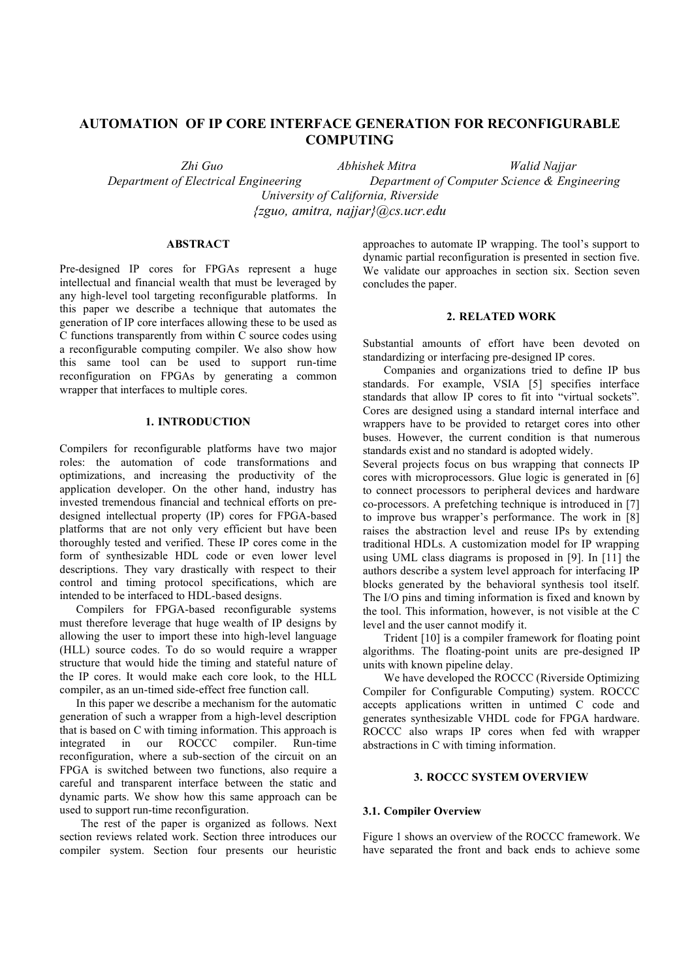# **AUTOMATION OF IP CORE INTERFACE GENERATION FOR RECONFIGURABLE COMPUTING**

*Zhi Guo Abhishek Mitra Walid Najjar Department of Electrical Engineering Department of Computer Science & Engineering University of California, Riverside {zguo, amitra, najjar}@cs.ucr.edu*

#### **ABSTRACT**

Pre-designed IP cores for FPGAs represent a huge intellectual and financial wealth that must be leveraged by any high-level tool targeting reconfigurable platforms. In this paper we describe a technique that automates the generation of IP core interfaces allowing these to be used as C functions transparently from within C source codes using a reconfigurable computing compiler. We also show how this same tool can be used to support run-time reconfiguration on FPGAs by generating a common wrapper that interfaces to multiple cores.

# **1. INTRODUCTION**

Compilers for reconfigurable platforms have two major roles: the automation of code transformations and optimizations, and increasing the productivity of the application developer. On the other hand, industry has invested tremendous financial and technical efforts on predesigned intellectual property (IP) cores for FPGA-based platforms that are not only very efficient but have been thoroughly tested and verified. These IP cores come in the form of synthesizable HDL code or even lower level descriptions. They vary drastically with respect to their control and timing protocol specifications, which are intended to be interfaced to HDL-based designs.

Compilers for FPGA-based reconfigurable systems must therefore leverage that huge wealth of IP designs by allowing the user to import these into high-level language (HLL) source codes. To do so would require a wrapper structure that would hide the timing and stateful nature of the IP cores. It would make each core look, to the HLL compiler, as an un-timed side-effect free function call.

In this paper we describe a mechanism for the automatic generation of such a wrapper from a high-level description that is based on C with timing information. This approach is integrated in our ROCCC compiler. Run-time reconfiguration, where a sub-section of the circuit on an FPGA is switched between two functions, also require a careful and transparent interface between the static and dynamic parts. We show how this same approach can be used to support run-time reconfiguration.

The rest of the paper is organized as follows. Next section reviews related work. Section three introduces our compiler system. Section four presents our heuristic

approaches to automate IP wrapping. The tool's support to dynamic partial reconfiguration is presented in section five. We validate our approaches in section six. Section seven concludes the paper.

## **2. RELATED WORK**

Substantial amounts of effort have been devoted on standardizing or interfacing pre-designed IP cores.

Companies and organizations tried to define IP bus standards. For example, VSIA [5] specifies interface standards that allow IP cores to fit into "virtual sockets". Cores are designed using a standard internal interface and wrappers have to be provided to retarget cores into other buses. However, the current condition is that numerous standards exist and no standard is adopted widely.

Several projects focus on bus wrapping that connects IP cores with microprocessors. Glue logic is generated in [6] to connect processors to peripheral devices and hardware co-processors. A prefetching technique is introduced in [7] to improve bus wrapper's performance. The work in [8] raises the abstraction level and reuse IPs by extending traditional HDLs. A customization model for IP wrapping using UML class diagrams is proposed in [9]. In [11] the authors describe a system level approach for interfacing IP blocks generated by the behavioral synthesis tool itself. The I/O pins and timing information is fixed and known by the tool. This information, however, is not visible at the C level and the user cannot modify it.

Trident [10] is a compiler framework for floating point algorithms. The floating-point units are pre-designed IP units with known pipeline delay.

We have developed the ROCCC (Riverside Optimizing Compiler for Configurable Computing) system. ROCCC accepts applications written in untimed C code and generates synthesizable VHDL code for FPGA hardware. ROCCC also wraps IP cores when fed with wrapper abstractions in C with timing information.

#### **3. ROCCC SYSTEM OVERVIEW**

## **3.1. Compiler Overview**

Figure 1 shows an overview of the ROCCC framework. We have separated the front and back ends to achieve some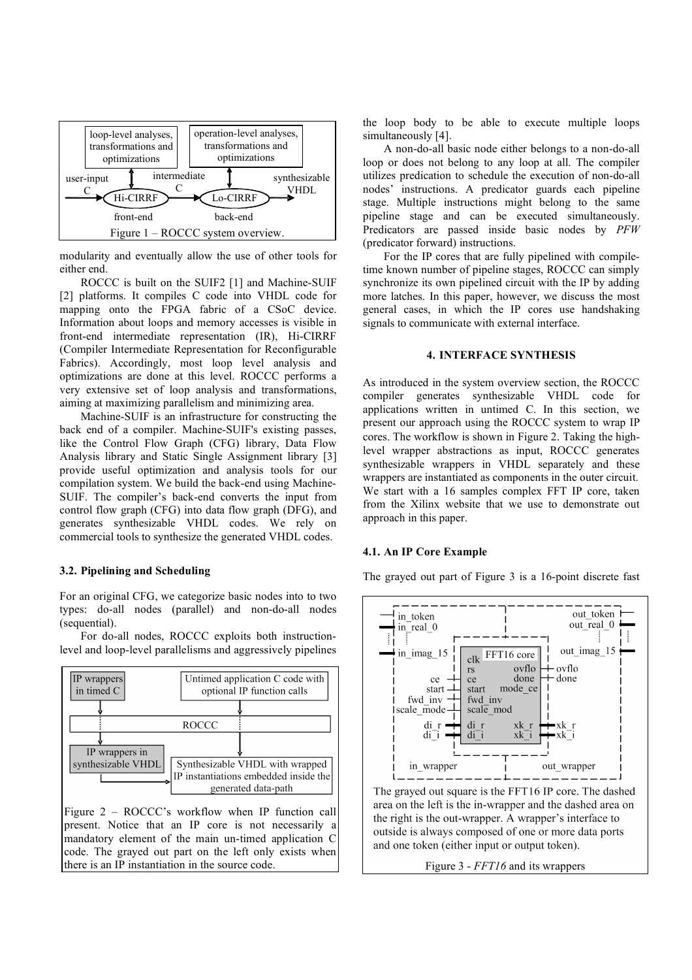

modularity and eventually allow the use of other tools for either end.

ROCCC is built on the SUIF2 [1] and Machine-SUIF [2] platforms. It compiles C code into VHDL code for mapping onto the FPGA fabric of a CSoC device. Information about loops and memory accesses is visible in front-end intermediate representation (IR), Hi-CIRRF (Compiler Intermediate Representation for Reconfigurable Fabrics). Accordingly, most loop level analysis and optimizations are done at this level. ROCCC performs a very extensive set of loop analysis and transformations, aiming at maximizing parallelism and minimizing area.

Machine-SUIF is an infrastructure for constructing the back end of a compiler. Machine-SUIF's existing passes, like the Control Flow Graph (CFG) library, Data Flow Analysis library and Static Single Assignment library [3] provide useful optimization and analysis tools for our compilation system. We build the back-end using Machine-SUIF. The compiler's back-end converts the input from control flow graph (CFG) into data flow graph (DFG), and generates synthesizable VHDL codes. We rely on commercial tools to synthesize the generated VHDL codes.

## **3.2. Pipelining and Scheduling**

For an original CFG, we categorize basic nodes into to two types: do-all nodes (parallel) and non-do-all nodes (sequential).

For do-all nodes, ROCCC exploits both instructionlevel and loop-level parallelisms and aggressively pipelines



the loop body to be able to execute multiple loops simultaneously [4].

A non-do-all basic node either belongs to a non-do-all loop or does not belong to any loop at all. The compiler utilizes predication to schedule the execution of non-do-all nodes' instructions. A predicator guards each pipeline stage. Multiple instructions might belong to the same pipeline stage and can be executed simultaneously. Predicators are passed inside basic nodes by *PFW* (predicator forward) instructions.

For the IP cores that are fully pipelined with compiletime known number of pipeline stages, ROCCC can simply synchronize its own pipelined circuit with the IP by adding more latches. In this paper, however, we discuss the most general cases, in which the IP cores use handshaking signals to communicate with external interface.

## **4. INTERFACE SYNTHESIS**

As introduced in the system overview section, the ROCCC compiler generates synthesizable VHDL code for applications written in untimed C. In this section, we present our approach using the ROCCC system to wrap IP cores. The workflow is shown in Figure 2. Taking the highlevel wrapper abstractions as input, ROCCC generates synthesizable wrappers in VHDL separately and these wrappers are instantiated as components in the outer circuit. We start with a 16 samples complex FFT IP core, taken from the Xilinx website that we use to demonstrate out approach in this paper.

### **4.1. An IP Core Example**

The grayed out part of Figure 3 is a 16-point discrete fast



outside is always composed of one or more data ports and one token (either input or output token).

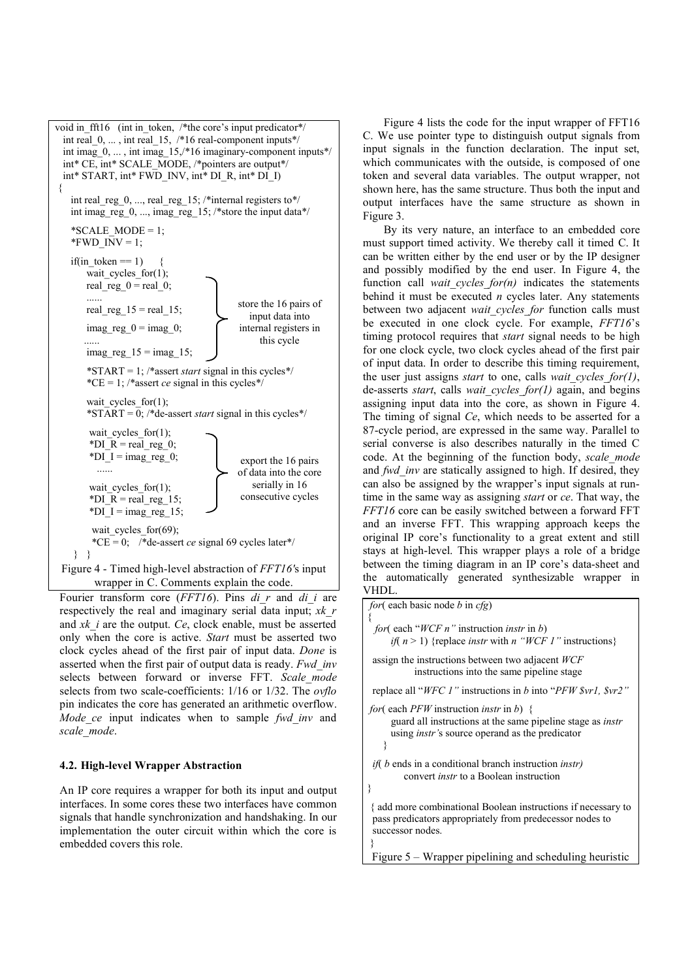

Fourier transform core (*FFT16*). Pins *di\_r* and *di\_i* are respectively the real and imaginary serial data input; *xk\_r* and *xk\_i* are the output. *Ce*, clock enable, must be asserted only when the core is active. *Start* must be asserted two clock cycles ahead of the first pair of input data. *Done* is asserted when the first pair of output data is ready. *Fwd\_inv* selects between forward or inverse FFT. *Scale\_mode* selects from two scale-coefficients: 1/16 or 1/32. The *ovflo* pin indicates the core has generated an arithmetic overflow. *Mode\_ce* input indicates when to sample *fwd\_inv* and *scale\_mode*.

# **4.2. High-level Wrapper Abstraction**

An IP core requires a wrapper for both its input and output interfaces. In some cores these two interfaces have common signals that handle synchronization and handshaking. In our implementation the outer circuit within which the core is embedded covers this role.

Figure 4 lists the code for the input wrapper of FFT16 C. We use pointer type to distinguish output signals from input signals in the function declaration. The input set, which communicates with the outside, is composed of one token and several data variables. The output wrapper, not shown here, has the same structure. Thus both the input and output interfaces have the same structure as shown in Figure 3.

By its very nature, an interface to an embedded core must support timed activity. We thereby call it timed C. It can be written either by the end user or by the IP designer and possibly modified by the end user. In Figure 4, the function call *wait cycles for(n)* indicates the statements behind it must be executed *n* cycles later. Any statements between two adjacent *wait\_cycles\_for* function calls must be executed in one clock cycle. For example, *FFT16*'s timing protocol requires that *start* signal needs to be high for one clock cycle, two clock cycles ahead of the first pair of input data. In order to describe this timing requirement, the user just assigns *start* to one, calls *wait\_cycles\_for(1)*, de-asserts *start*, calls *wait\_cycles\_for(1)* again, and begins assigning input data into the core, as shown in Figure 4. The timing of signal *Ce*, which needs to be asserted for a 87-cycle period, are expressed in the same way. Parallel to serial converse is also describes naturally in the timed C code. At the beginning of the function body, *scale\_mode* and *fwd inv* are statically assigned to high. If desired, they can also be assigned by the wrapper's input signals at runtime in the same way as assigning *start* or *ce*. That way, the *FFT16* core can be easily switched between a forward FFT and an inverse FFT. This wrapping approach keeps the original IP core's functionality to a great extent and still stays at high-level. This wrapper plays a role of a bridge between the timing diagram in an IP core's data-sheet and the automatically generated synthesizable wrapper in VHDL.

*for*( each basic node *b* in *cfg*)

{ *for*( each "*WCF n "* instruction *instr* in *b*) *if*( $n > 1$ ) {replace *instr* with *n* "*WCF 1*" instructions} assign the instructions between two adjacent *WCF* instructions into the same pipeline stage replace all "*WFC 1"* instructions in *b* into "*PFW \$vr1, \$vr2" for*( each *PFW* instruction *instr* in *b*) { guard all instructions at the same pipeline stage as *instr* using *instr '* s source operand as the predicator } *if*( *b* ends in a conditional branch instruction *instr)* convert *instr* to a Boolean instruction } { add more combinational Boolean instructions if necessary to pass predicators appropriately from predecessor nodes to successor nodes. }

Figure 5 – Wrapper pipelining and scheduling heuristic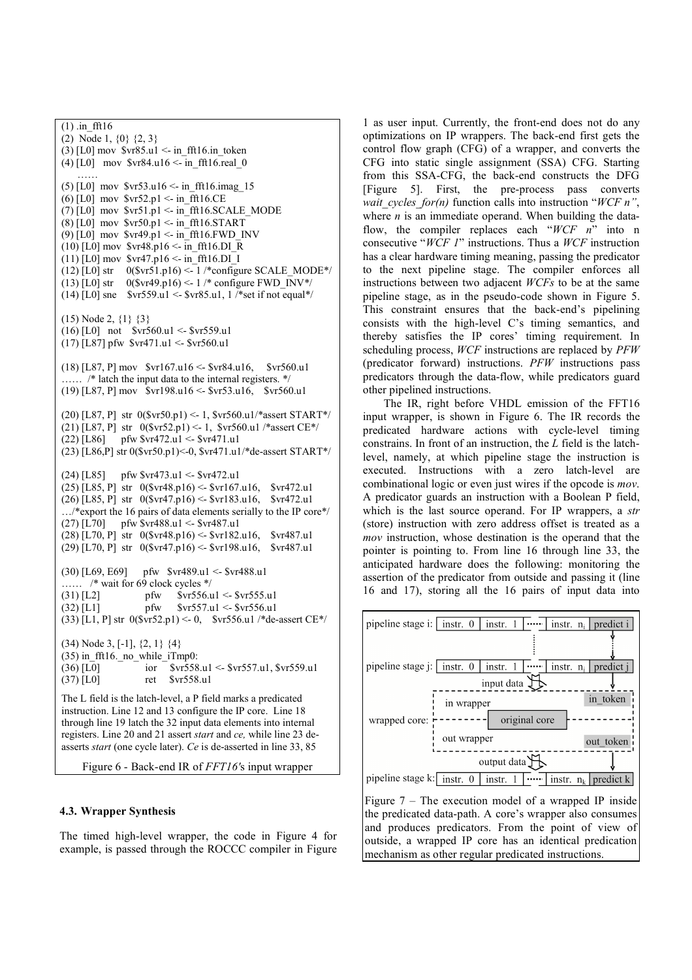```
(1) .in fft16
(2) Node 1, {0} {2, 3}
(3) [L0] mov \frac{\text{Sv}85 \text{ u}}{150 \text{ m}} = in fft16.in token
(4) [L0] mov v8x84.u16 < \text{in} fft16.real_0
    ……
(5) [L0] mov v53. u16 \leq in fft16.imag 15
(6) [L0] mov yr52.p1 \leq in fft16.CE
(7) [L0] mov \frac{\sqrt{51}}{10} <- in fft16.SCALE MODE
(8) [L0] mov $vr50.p1 \le in fft16.START
(9) [L0] mov \sqrt{3} \text{vr}49.p1 \leq \text{in} fft16.FWD INV
(10) [L0] mov $vr48.p16 <- in_fft16.DI_R
(11) [L0] mov \sqrt{3} \cdot \sqrt{47}.p16 <- in fft16.DI I
(12) [L0] str 0(\frac{\sqrt{5}}{1.516}) < -1 /*configure SCALE_MODE*/
(13) [L0] str 0(\text{Str49.p16}) < -1 /* configure FWD_INV*/
(14) [L0] sne $vr559.u1 < $vr85.u1, 1 /*set if not equal*/
(15) Node 2, {1} {3}
(16) [L0] not $vr560.u1 < $vr559.u1(17) [L87] pfw \frac{\sqrt{471}}{1} u1 < \frac{\sqrt{560}}{1}(18) [L87, P] mov \frac{\text{Svt167.u16}}{\text{St167.u16}} \frac{\text{Svt560.u1}}{\text{St167}}...... /* latch the input data to the internal registers. */
(19) [L87, P] mov $vr198.u16 <- $vr53.u16, $vr560.u1
(20) [L87, P] str 0(\frac{\sqrt{50.01}}{51.50 \times 10^{14}}) str 560.u1/\frac{\sqrt{560.01}}{20.000 \times 10^{14}} str START^*/(21) [L87, P] str 0(\frac{\sqrt{5}}{2.5}) < 1, \frac{\sqrt{560.} \text{u1}}{\sqrt{560.}} CE*/
(22) [L86] pfw $vr472.u1 <- $vr471.u1
(23) [L86,P] str 0($vr50.p1)<-0, $vr471.u1/*de-assert START*/
(24) [L85] pfw $vr473.u1 <- $vr472.u1
(25) [L85, P] str 0($vr48.p16) <- $vr167.u16, $vr472.u1
(26) [L85, P] str 0($vr47.p16) <- $vr183.u16, $vr472.u1
…/*export the 16 pairs of data elements serially to the IP core*/
(27) [L70] pfw $vr488.u1 <- $vr487.u1
(28) [L70, P] str 0($vr48.p16) <- $vr182.u16, $vr487.u1
(29) [L70, P] str 0($vr47.p16) <- $vr198.u16, $vr487.u1
(30) [L69, E69] pfw \sqrt{8} \text{vr} 489 \cdot \text{u} 1 < -\sqrt{8} \text{vr} 488 \cdot \text{u} 1…… /* wait for 69 clock cycles */<br>(31) [L2] pfw $vr556.u(31) [L2] pfw $vr556.u1 <- $vr555.u1
(32) [L1] pfw $vr557.u1 < - $vr556.u1(33) [L1, P] str 0(\sqrt{\sqrt{52}}.p1) < 0, \sqrt{\sqrt{556}}.u1 /*de-assert CE*/
(34) Node 3, [-1], {2, 1} {4}
(35) in fft16. no while iTmp0:
(36) [L0] ior \frac{\text{svr558.u1}}{\text{svr558.u1}} < \frac{\text{svr557.u1}}{\text{svr559.u1}}(37) [L0] ret $vr558.u1
The L field is the latch-level, a P field marks a predicated
instruction. Line 12 and 13 configure the IP core. Line 18
through line 19 latch the 32 input data elements into internal
registers. Line 20 and 21 assert start and ce, while line 23 de-
asserts start (one cycle later). Ce is de-asserted in line 33, 85
```
Figure 6 - Back-end IR of *FFT16'*s input wrapper

### **4.3. Wrapper Synthesis**

The timed high-level wrapper, the code in Figure 4 for example, is passed through the ROCCC compiler in Figure

1 as user input. Currently, the front-end does not do any optimizations on IP wrappers. The back-end first gets the control flow graph (CFG) of a wrapper, and converts the CFG into static single assignment (SSA) CFG. Starting from this SSA-CFG, the back-end constructs the DFG [Figure 5]. First, the pre-process pass converts *wait\_cycles\_for(n)* function calls into instruction "*WCF n"*, where *n* is an immediate operand. When building the dataflow, the compiler replaces each "*WCF n*" into n consecutive "*WCF 1*" instructions. Thus a *WCF* instruction has a clear hardware timing meaning, passing the predicator to the next pipeline stage. The compiler enforces all instructions between two adjacent *WCFs* to be at the same pipeline stage, as in the pseudo-code shown in Figure 5. This constraint ensures that the back-end's pipelining consists with the high-level C's timing semantics, and thereby satisfies the IP cores' timing requirement. In scheduling process, *WCF* instructions are replaced by *PFW* (predicator forward) instructions. *PFW* instructions pass predicators through the data-flow, while predicators guard other pipelined instructions.

The IR, right before VHDL emission of the FFT16 input wrapper, is shown in Figure 6. The IR records the predicated hardware actions with cycle-level timing constrains. In front of an instruction, the *L* field is the latchlevel, namely, at which pipeline stage the instruction is executed. Instructions with a zero latch-level are combinational logic or even just wires if the opcode is *mov*. A predicator guards an instruction with a Boolean P field, which is the last source operand. For IP wrappers, a *str* (store) instruction with zero address offset is treated as a *mov* instruction, whose destination is the operand that the pointer is pointing to. From line 16 through line 33, the anticipated hardware does the following: monitoring the assertion of the predicator from outside and passing it (line 16 and 17), storing all the 16 pairs of input data into



Figure  $7$  – The execution model of a wrapped IP inside the predicated data-path. A core's wrapper also consumes and produces predicators. From the point of view of outside, a wrapped IP core has an identical predication mechanism as other regular predicated instructions.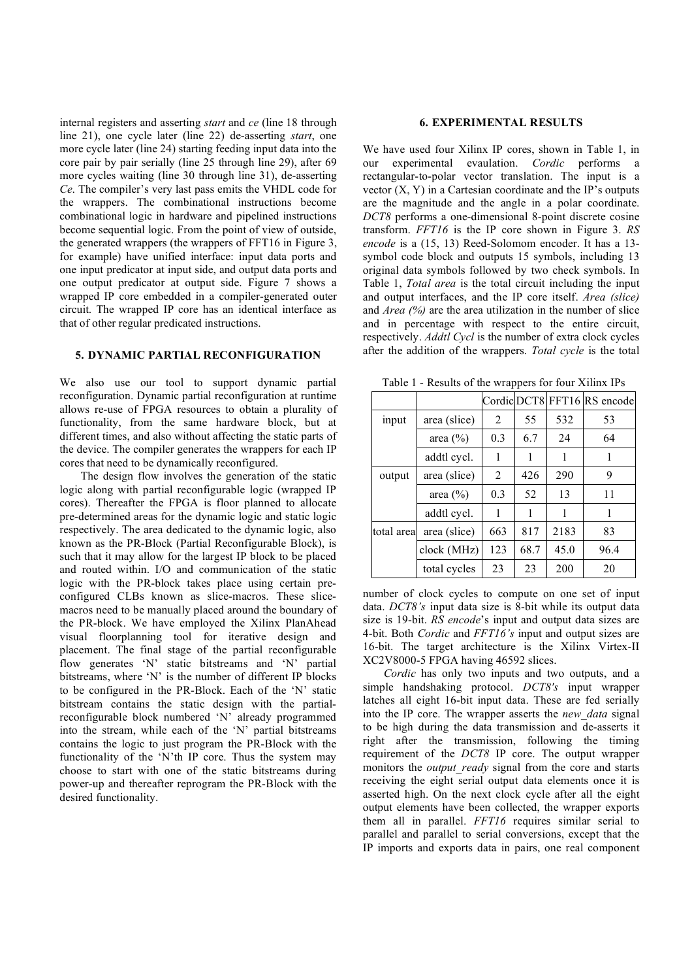internal registers and asserting *start* and *ce* (line 18 through line 21), one cycle later (line 22) de-asserting *start*, one more cycle later (line 24) starting feeding input data into the core pair by pair serially (line 25 through line 29), after 69 more cycles waiting (line 30 through line 31), de-asserting *Ce*. The compiler's very last pass emits the VHDL code for the wrappers. The combinational instructions become combinational logic in hardware and pipelined instructions become sequential logic. From the point of view of outside, the generated wrappers (the wrappers of FFT16 in Figure 3, for example) have unified interface: input data ports and one input predicator at input side, and output data ports and one output predicator at output side. Figure 7 shows a wrapped IP core embedded in a compiler-generated outer circuit. The wrapped IP core has an identical interface as that of other regular predicated instructions.

#### **5. DYNAMIC PARTIAL RECONFIGURATION**

We also use our tool to support dynamic partial reconfiguration. Dynamic partial reconfiguration at runtime allows re-use of FPGA resources to obtain a plurality of functionality, from the same hardware block, but at different times, and also without affecting the static parts of the device. The compiler generates the wrappers for each IP cores that need to be dynamically reconfigured.

The design flow involves the generation of the static logic along with partial reconfigurable logic (wrapped IP cores). Thereafter the FPGA is floor planned to allocate pre-determined areas for the dynamic logic and static logic respectively. The area dedicated to the dynamic logic, also known as the PR-Block (Partial Reconfigurable Block), is such that it may allow for the largest IP block to be placed and routed within. I/O and communication of the static logic with the PR-block takes place using certain preconfigured CLBs known as slice-macros. These slicemacros need to be manually placed around the boundary of the PR-block. We have employed the Xilinx PlanAhead visual floorplanning tool for iterative design and placement. The final stage of the partial reconfigurable flow generates 'N' static bitstreams and 'N' partial bitstreams, where 'N' is the number of different IP blocks to be configured in the PR-Block. Each of the 'N' static bitstream contains the static design with the partialreconfigurable block numbered 'N' already programmed into the stream, while each of the 'N' partial bitstreams contains the logic to just program the PR-Block with the functionality of the 'N'th IP core. Thus the system may choose to start with one of the static bitstreams during power-up and thereafter reprogram the PR-Block with the desired functionality.

# **6. EXPERIMENTAL RESULTS**

We have used four Xilinx IP cores, shown in Table 1, in our experimental evaulation. *Cordic* performs a rectangular-to-polar vector translation. The input is a vector  $(X, Y)$  in a Cartesian coordinate and the IP's outputs are the magnitude and the angle in a polar coordinate. *DCT8* performs a one-dimensional 8-point discrete cosine transform. *FFT16* is the IP core shown in Figure 3. *RS encode* is a (15, 13) Reed-Solomom encoder. It has a 13 symbol code block and outputs 15 symbols, including 13 original data symbols followed by two check symbols. In Table 1, *Total area* is the total circuit including the input and output interfaces, and the IP core itself. *Area (slice)* and *Area (%)* are the area utilization in the number of slice and in percentage with respect to the entire circuit, respectively. *Addtl Cycl* is the number of extra clock cycles after the addition of the wrappers. *Total cycle* is the total

Table 1 - Results of the wrappers for four Xilinx IPs

|            |              |     |      |      | Cordic DCT8 FFT16 RS encode |
|------------|--------------|-----|------|------|-----------------------------|
| input      | area (slice) | 2   | 55   | 532  | 53                          |
|            | area $(\% )$ | 0.3 | 6.7  | 24   | 64                          |
|            | addtl cycl.  | 1   |      | 1    |                             |
| output     | area (slice) | 2   | 426  | 290  | 9                           |
|            | area $(\% )$ | 0.3 | 52   | 13   | 11                          |
|            | addtl cycl.  | 1   | 1    | 1    | 1                           |
| total area | area (slice) | 663 | 817  | 2183 | 83                          |
|            | clock (MHz)  | 123 | 68.7 | 45.0 | 96.4                        |
|            | total cycles | 23  | 23   | 200  | 20                          |

number of clock cycles to compute on one set of input data. *DCT8's* input data size is 8-bit while its output data size is 19-bit. *RS encode*'s input and output data sizes are 4-bit. Both *Cordic* and *FFT16's* input and output sizes are 16-bit. The target architecture is the Xilinx Virtex-II XC2V8000-5 FPGA having 46592 slices.

*Cordic* has only two inputs and two outputs, and a simple handshaking protocol. *DCT8's* input wrapper latches all eight 16-bit input data. These are fed serially into the IP core. The wrapper asserts the *new\_data* signal to be high during the data transmission and de-asserts it right after the transmission, following the timing requirement of the *DCT8* IP core. The output wrapper monitors the *output ready* signal from the core and starts receiving the eight serial output data elements once it is asserted high. On the next clock cycle after all the eight output elements have been collected, the wrapper exports them all in parallel. *FFT16* requires similar serial to parallel and parallel to serial conversions, except that the IP imports and exports data in pairs, one real component